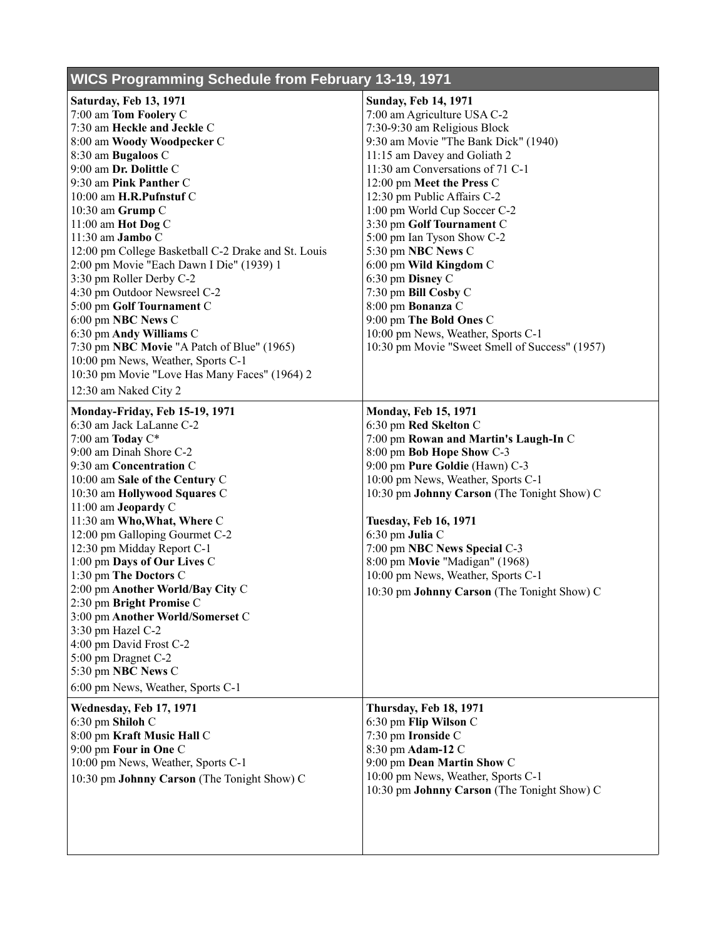## **WICS Programming Schedule from February 13-19, 1971**

| <b>Saturday, Feb 13, 1971</b>                       | <b>Sunday, Feb 14, 1971</b>                    |
|-----------------------------------------------------|------------------------------------------------|
| 7:00 am Tom Foolery C                               | 7:00 am Agriculture USA C-2                    |
| 7:30 am Heckle and Jeckle C                         | 7:30-9:30 am Religious Block                   |
| 8:00 am Woody Woodpecker C                          | 9:30 am Movie "The Bank Dick" (1940)           |
| 8:30 am Bugaloos C                                  | 11:15 am Davey and Goliath 2                   |
| 9:00 am Dr. Dolittle C                              | 11:30 am Conversations of 71 C-1               |
| 9:30 am Pink Panther C                              | 12:00 pm Meet the Press C                      |
| 10:00 am H.R.Pufnstuf C                             | 12:30 pm Public Affairs C-2                    |
| 10:30 am Grump C                                    | 1:00 pm World Cup Soccer C-2                   |
| 11:00 am Hot Dog C                                  | 3:30 pm Golf Tournament C                      |
| 11:30 am Jambo C                                    | 5:00 pm Ian Tyson Show C-2                     |
| 12:00 pm College Basketball C-2 Drake and St. Louis | 5:30 pm NBC News C                             |
| 2:00 pm Movie "Each Dawn I Die" (1939) 1            | 6:00 pm Wild Kingdom C                         |
| 3:30 pm Roller Derby C-2                            | 6:30 pm Disney C                               |
| 4:30 pm Outdoor Newsreel C-2                        | 7:30 pm Bill Cosby C                           |
| 5:00 pm Golf Tournament C                           | 8:00 pm Bonanza C                              |
| 6:00 pm NBC News C                                  | 9:00 pm The Bold Ones C                        |
| 6:30 pm Andy Williams C                             | 10:00 pm News, Weather, Sports C-1             |
| 7:30 pm NBC Movie "A Patch of Blue" (1965)          | 10:30 pm Movie "Sweet Smell of Success" (1957) |
| 10:00 pm News, Weather, Sports C-1                  |                                                |
| 10:30 pm Movie "Love Has Many Faces" (1964) 2       |                                                |
| 12:30 am Naked City 2                               |                                                |
| Monday-Friday, Feb 15-19, 1971                      | <b>Monday, Feb 15, 1971</b>                    |
| 6:30 am Jack LaLanne C-2                            | 6:30 pm Red Skelton C                          |
| 7:00 am Today $C^*$                                 | 7:00 pm Rowan and Martin's Laugh-In C          |
| 9:00 am Dinah Shore C-2                             | 8:00 pm Bob Hope Show C-3                      |
| 9:30 am Concentration C                             | 9:00 pm Pure Goldie (Hawn) C-3                 |
| 10:00 am Sale of the Century C                      | 10:00 pm News, Weather, Sports C-1             |
| 10:30 am Hollywood Squares C                        | 10:30 pm Johnny Carson (The Tonight Show) C    |
| 11:00 am Jeopardy C                                 |                                                |
| 11:30 am Who, What, Where C                         | <b>Tuesday, Feb 16, 1971</b>                   |
| 12:00 pm Galloping Gourmet C-2                      | 6:30 pm Julia C                                |
| 12:30 pm Midday Report C-1                          | 7:00 pm NBC News Special C-3                   |
| 1:00 pm Days of Our Lives C                         | 8:00 pm Movie "Madigan" (1968)                 |
| 1:30 pm The Doctors C                               | 10:00 pm News, Weather, Sports C-1             |
| 2:00 pm Another World/Bay City C                    | 10:30 pm Johnny Carson (The Tonight Show) C    |
| 2:30 pm Bright Promise C                            |                                                |
| 3:00 pm Another World/Somerset C                    |                                                |
| 3:30 pm Hazel C-2                                   |                                                |
| 4:00 pm David Frost C-2                             |                                                |
| 5:00 pm Dragnet C-2                                 |                                                |
| 5:30 pm NBC News C                                  |                                                |
| 6:00 pm News, Weather, Sports C-1                   |                                                |
| Wednesday, Feb 17, 1971                             | Thursday, Feb 18, 1971                         |
| 6:30 pm Shiloh C                                    | 6:30 pm Flip Wilson C                          |
| 8:00 pm Kraft Music Hall C                          | 7:30 pm Ironside C                             |
| 9:00 pm Four in One C                               | 8:30 pm Adam-12 C                              |
| 10:00 pm News, Weather, Sports C-1                  | 9:00 pm Dean Martin Show C                     |
| 10:30 pm Johnny Carson (The Tonight Show) C         | 10:00 pm News, Weather, Sports C-1             |
|                                                     | 10:30 pm Johnny Carson (The Tonight Show) C    |
|                                                     |                                                |
|                                                     |                                                |
|                                                     |                                                |
|                                                     |                                                |